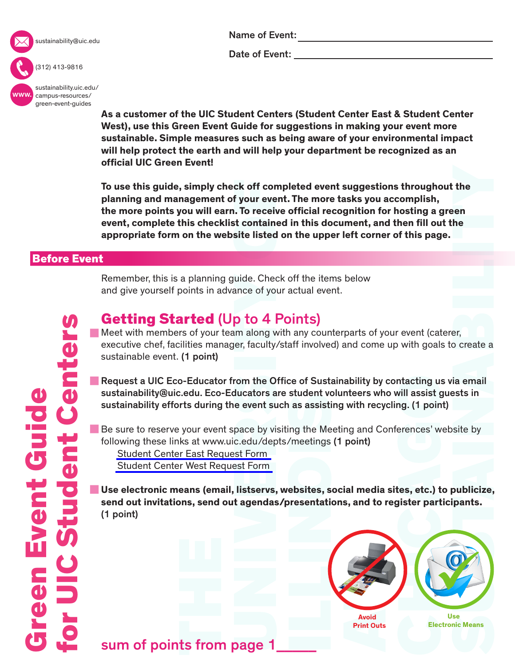

sustainability@uic.edu

#### Name of Event:

Date of Event:

www. [sustainability.uic.edu/](sustainability.uic.edu/campus-resources/green-event-guides) campus-resources/ green-event-guides

(312) 413-9816

**As a customer of the UIC Student Centers (Student Center East & Student Center West), use this Green Event Guide for suggestions in making your event more sustainable. Simple measures such as being aware of your environmental impact will help protect the earth and will help your department be recognized as an official UIC Green Event!** 

**To use this guide, simply check off completed event suggestions throughout the planning and management of your event. The more tasks you accomplish, the more points you will earn. To receive official recognition for hosting a green event, complete this checklist contained in this document, and then fill out the appropriate form on the website listed on the upper left corner of this page.**

## Before Event

Remember, this is a planning guide. Check off the items below and give yourself points in advance of your actual event.

# Getting Started (Up to 4 Points)

Meet with members of your team along with any counterparts of your event (caterer, executive chef, facilities manager, faculty/staff involved) and come up with goals to create a sustainable event. (1 point)

**Request a UIC Eco-Educator from the Office of Sustainability by contacting us via email** sustainability@uic.edu. Eco-Educators are student volunteers who will assist guests in sustainability efforts during the event such as assisting with recycling. (1 point)

Be sure to reserve your event space by visiting the Meeting and Conferences' website by following these links at www.uic.edu/depts/meetings (1 point) [Student Center East Request Form](http://www.uic.edu/depts/meetings/sce.shtml) [Student Center West Request Form](http://www.uic.edu/depts/meetings/scw.shtml)

: the<br>
een<br>
he<br>
he<br>
er,<br>
o create a<br>
ia email<br>
ests in<br>
site by<br>
publicize,<br>
pants.<br>
Surface Means **Use electronic means (email, listservs, websites, social media sites, etc.) to publicize, send out invitations, send out agendas/presentations, and to register participants.** (1 point)



**Print Outs**

 **Use Electronic Means**

sum of points from page 1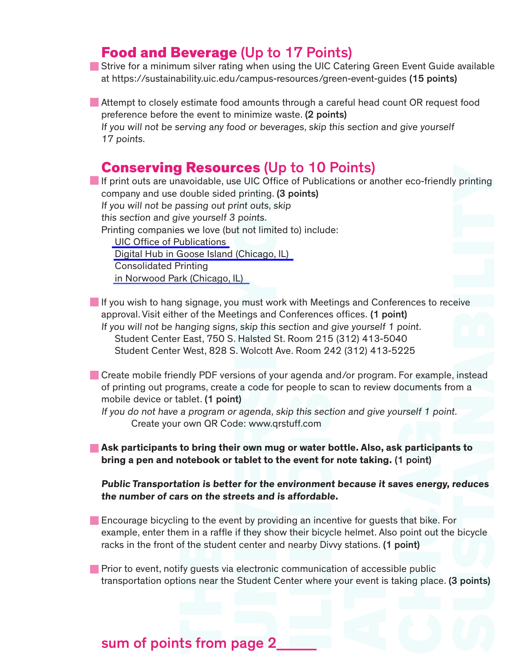## Food and Beverage (Up to 17 Points)

**Strive for a minimum silver rating when using the UIC Catering Green Event Guide available** at<https://sustainability.uic.edu/campus-resources/green-event-guides>(15 points)

Attempt to closely estimate food amounts through a careful head count OR request food preference before the event to minimize waste. (2 points) If you will not be serving any food or beverages, skip this section and give yourself 17 points.

## Conserving Resources (Up to 10 Points)

y printing<br>eive<br>eive<br>an a<br>d.<br>**ts to<br>reduces**<br>r<br>bicycle<br>3 points) If print outs are unavoidable, use UIC Office of Publications or another eco-friendly printing company and use double sided printing. (3 points) If you will not be passing out print outs, skip this section and give yourself 3 points. Printing companies we love (but not limited to) include: [UIC Office of Publications](http://www.uic.edu/depts/publications/) [Digital Hub in Goose Island \(Chicago, IL\)](http://digitalhubchicago.com) Consolidated Printing [in Norwood Park \(Chicago, IL\)](http://www.consolidatedprinting.net/Pages/About+Us)

If you wish to hang signage, you must work with Meetings and Conferences to receive approval. Visit either of the Meetings and Conferences offices. (1 point) If you will not be hanging signs, skip this section and give yourself 1 point. Student Center East, 750 S. Halsted St. Room 215 (312) 413-5040 Student Center West, 828 S. Wolcott Ave. Room 242 (312) 413-5225

Create mobile friendly PDF versions of your agenda and/or program. For example, instead of printing out programs, create a code for people to scan to review documents from a mobile device or tablet. (1 point)

If you do not have a program or agenda, skip this section and give yourself 1 point. Create your own QR Code:<www.qrstuff.com>

**Ask participants to bring their own mug or water bottle. Also, ask participants to bring a pen and notebook or tablet to the event for note taking.** (1 point)

**Public Transportation is better for the environment because it saves energy, reduces the number of cars on the streets and is affordable.** 

**Encourage bicycling to the event by providing an incentive for guests that bike. For** example, enter them in a raffle if they show their bicycle helmet. Also point out the bicycle racks in the front of the student center and nearby Divvy stations. (1 point)

**Prior to event, notify guests via electronic communication of accessible public** transportation options near the Student Center where your event is taking place. (3 points)

# sum of points from page 2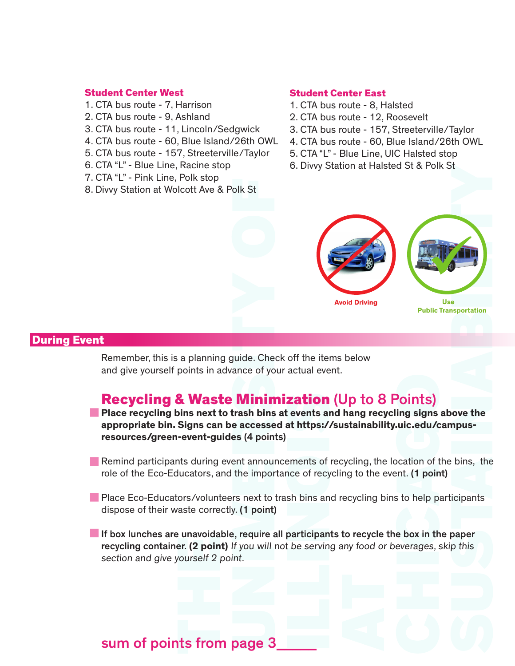#### Student Center West

- 1. CTA bus route 7, Harrison
- 2. CTA bus route 9, Ashland
- 3. CTA bus route 11, Lincoln/Sedgwick
- 4. CTA bus route 60, Blue Island/26th OWL
- 5. CTA bus route 157, Streeterville/Taylor
- 6. CTA "L" Blue Line, Racine stop
- 7. CTA "L" Pink Line, Polk stop
- 8. Divvy Station at Wolcott Ave & Polk St

#### Student Center East

- 1. CTA bus route 8, Halsted
- 2. CTA bus route 12, Roosevelt
- 3. CTA bus route 157, Streeterville/Taylor
- 4. CTA bus route 60, Blue Island/26th OWL
- 5. CTA "L" Blue Line, UIC Halsted stop
- 6. Divvy Station at Halsted St & Polk St



### During Event

Remember, this is a planning guide. Check off the items below and give yourself points in advance of your actual event.

## Recycling & Waste Minimization (Up to 8 Points)

**Place recycling bins next to trash bins at events and hang recycling signs above the appropriate bin. Signs can be accessed at https://sustainability.uic.edu/campusresources/green-event-guides** (4 points)

- **Remind participants during event announcements of recycling, the location of the bins, the** role of the Eco-Educators, and the importance of recycling to the event. (1 point)
- **Place Eco-Educators/volunteers next to trash bins and recycling bins to help participants** dispose of their waste correctly. (1 point)

If box lunches are unavoidable, require all participants to recycle the box in the paper recycling container. **(2 point)** If you will not be serving any food or beverages, skip this section and give yourself 2 point.

## sum of points from page 3